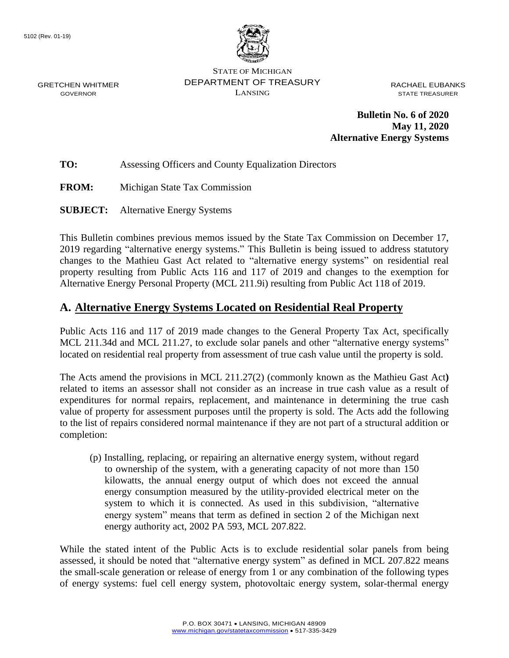

STATE OF MICHIGAN DEPARTMENT OF TREASURY LANSING

RACHAEL EUBANKS STATE TREASURER

**Bulletin No. 6 of 2020 May 11, 2020 Alternative Energy Systems**

**TO:** Assessing Officers and County Equalization Directors

**FROM:** Michigan State Tax Commission

**SUBJECT:** Alternative Energy Systems

This Bulletin combines previous memos issued by the State Tax Commission on December 17, 2019 regarding "alternative energy systems." This Bulletin is being issued to address statutory changes to the Mathieu Gast Act related to "alternative energy systems" on residential real property resulting from Public Acts 116 and 117 of 2019 and changes to the exemption for Alternative Energy Personal Property (MCL 211.9i) resulting from Public Act 118 of 2019.

## **A. Alternative Energy Systems Located on Residential Real Property**

Public Acts 116 and 117 of 2019 made changes to the General Property Tax Act, specifically MCL 211.34d and MCL 211.27, to exclude solar panels and other "alternative energy systems" located on residential real property from assessment of true cash value until the property is sold.

The Acts amend the provisions in MCL 211.27(2) (commonly known as the Mathieu Gast Act**)**  related to items an assessor shall not consider as an increase in true cash value as a result of expenditures for normal repairs, replacement, and maintenance in determining the true cash value of property for assessment purposes until the property is sold. The Acts add the following to the list of repairs considered normal maintenance if they are not part of a structural addition or completion:

(p) Installing, replacing, or repairing an alternative energy system, without regard to ownership of the system, with a generating capacity of not more than 150 kilowatts, the annual energy output of which does not exceed the annual energy consumption measured by the utility-provided electrical meter on the system to which it is connected. As used in this subdivision, "alternative energy system" means that term as defined in section 2 of the Michigan next energy authority act, 2002 PA 593, MCL 207.822.

While the stated intent of the Public Acts is to exclude residential solar panels from being assessed, it should be noted that "alternative energy system" as defined in MCL 207.822 means the small-scale generation or release of energy from 1 or any combination of the following types of energy systems: fuel cell energy system, photovoltaic energy system, solar-thermal energy

GRETCHEN WHITMER GOVERNOR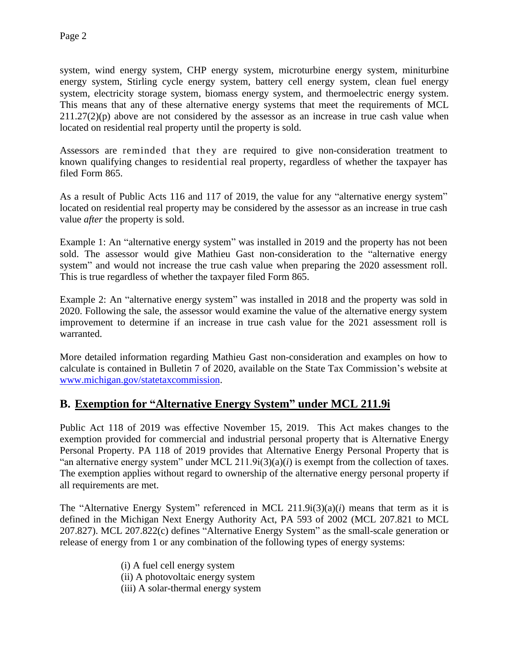system, wind energy system, CHP energy system, microturbine energy system, miniturbine energy system, Stirling cycle energy system, battery cell energy system, clean fuel energy system, electricity storage system, biomass energy system, and thermoelectric energy system. This means that any of these alternative energy systems that meet the requirements of MCL  $211.27(2)(p)$  above are not considered by the assessor as an increase in true cash value when located on residential real property until the property is sold.

Assessors are reminded that they are required to give non-consideration treatment to known qualifying changes to residential real property, regardless of whether the taxpayer has filed Form 865.

As a result of Public Acts 116 and 117 of 2019, the value for any "alternative energy system" located on residential real property may be considered by the assessor as an increase in true cash value *after* the property is sold.

Example 1: An "alternative energy system" was installed in 2019 and the property has not been sold. The assessor would give Mathieu Gast non-consideration to the "alternative energy system" and would not increase the true cash value when preparing the 2020 assessment roll. This is true regardless of whether the taxpayer filed Form 865.

Example 2: An "alternative energy system" was installed in 2018 and the property was sold in 2020. Following the sale, the assessor would examine the value of the alternative energy system improvement to determine if an increase in true cash value for the 2021 assessment roll is warranted.

More detailed information regarding Mathieu Gast non-consideration and examples on how to calculate is contained in Bulletin 7 of 2020, available on the State Tax Commission's website at [www.michigan.gov/statetaxcommission.](http://www.michigan.gov/statetaxcommission)

## **B. Exemption for "Alternative Energy System" under MCL 211.9i**

Public Act 118 of 2019 was effective November 15, 2019. This Act makes changes to the exemption provided for commercial and industrial personal property that is Alternative Energy Personal Property. PA 118 of 2019 provides that Alternative Energy Personal Property that is "an alternative energy system" under MCL 211.9i(3)(a)(*i*) is exempt from the collection of taxes. The exemption applies without regard to ownership of the alternative energy personal property if all requirements are met.

The "Alternative Energy System" referenced in MCL 211.9i(3)(a)(*i*) means that term as it is defined in the Michigan Next Energy Authority Act, PA 593 of 2002 (MCL 207.821 to MCL 207.827). MCL 207.822(c) defines "Alternative Energy System" as the small-scale generation or release of energy from 1 or any combination of the following types of energy systems:

- (i) A fuel cell energy system
- (ii) A photovoltaic energy system
- (iii) A solar-thermal energy system